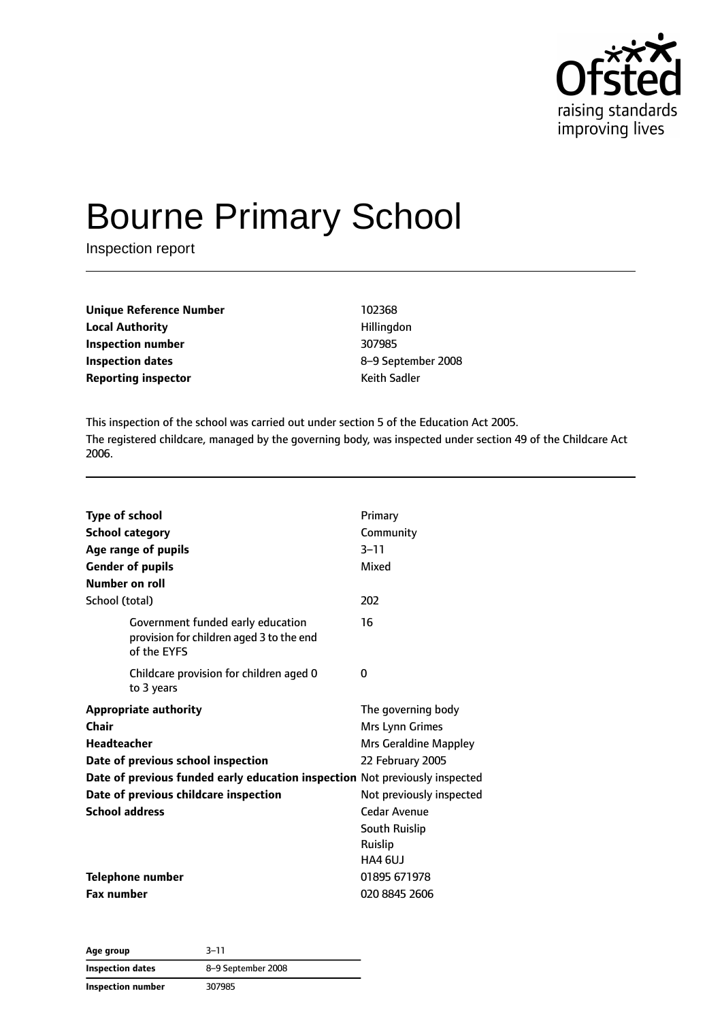

# Bourne Primary School

Inspection report

| <b>Unique Reference Number</b> | 102368              |
|--------------------------------|---------------------|
| <b>Local Authority</b>         | Hillingdon          |
| Inspection number              | 307985              |
| <b>Inspection dates</b>        | 8-9 Septeml         |
| <b>Reporting inspector</b>     | <b>Keith Sadler</b> |

**Local Authority** Hillingdon **Inspection number** 307985 **Inspection dates** 8–9 September 2008

This inspection of the school was carried out under section 5 of the Education Act 2005. The registered childcare, managed by the governing body, was inspected under section 49 of the Childcare Act 2006.

| <b>Type of school</b>                                                                        | Primary                  |
|----------------------------------------------------------------------------------------------|--------------------------|
| <b>School category</b>                                                                       | Community                |
| Age range of pupils                                                                          | $3 - 11$                 |
| <b>Gender of pupils</b>                                                                      | Mixed                    |
| Number on roll                                                                               |                          |
| School (total)                                                                               | 202                      |
| Government funded early education<br>provision for children aged 3 to the end<br>of the EYFS | 16                       |
| Childcare provision for children aged 0<br>to 3 years                                        | 0                        |
| <b>Appropriate authority</b>                                                                 | The governing body       |
| Chair                                                                                        | Mrs Lynn Grimes          |
| <b>Headteacher</b>                                                                           | Mrs Geraldine Mappley    |
| Date of previous school inspection                                                           | 22 February 2005         |
| Date of previous funded early education inspection Not previously inspected                  |                          |
| Date of previous childcare inspection                                                        | Not previously inspected |
| <b>School address</b>                                                                        | Cedar Avenue             |
|                                                                                              | <b>South Ruislip</b>     |
|                                                                                              | Ruislip                  |
|                                                                                              | HA4 6UJ                  |
| <b>Telephone number</b>                                                                      | 01895 671978             |
| <b>Fax number</b>                                                                            | 020 8845 2606            |

**Age group** 3–11 **Inspection dates** 8–9 September 2008 **Inspection number** 307985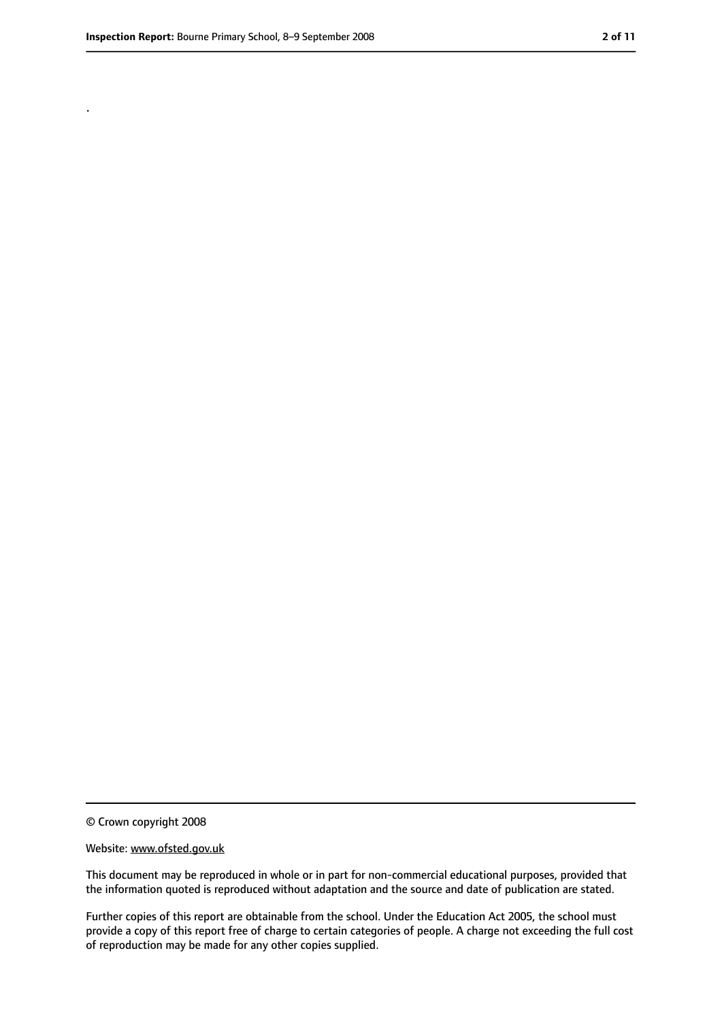.

<sup>©</sup> Crown copyright 2008

Website: www.ofsted.gov.uk

This document may be reproduced in whole or in part for non-commercial educational purposes, provided that the information quoted is reproduced without adaptation and the source and date of publication are stated.

Further copies of this report are obtainable from the school. Under the Education Act 2005, the school must provide a copy of this report free of charge to certain categories of people. A charge not exceeding the full cost of reproduction may be made for any other copies supplied.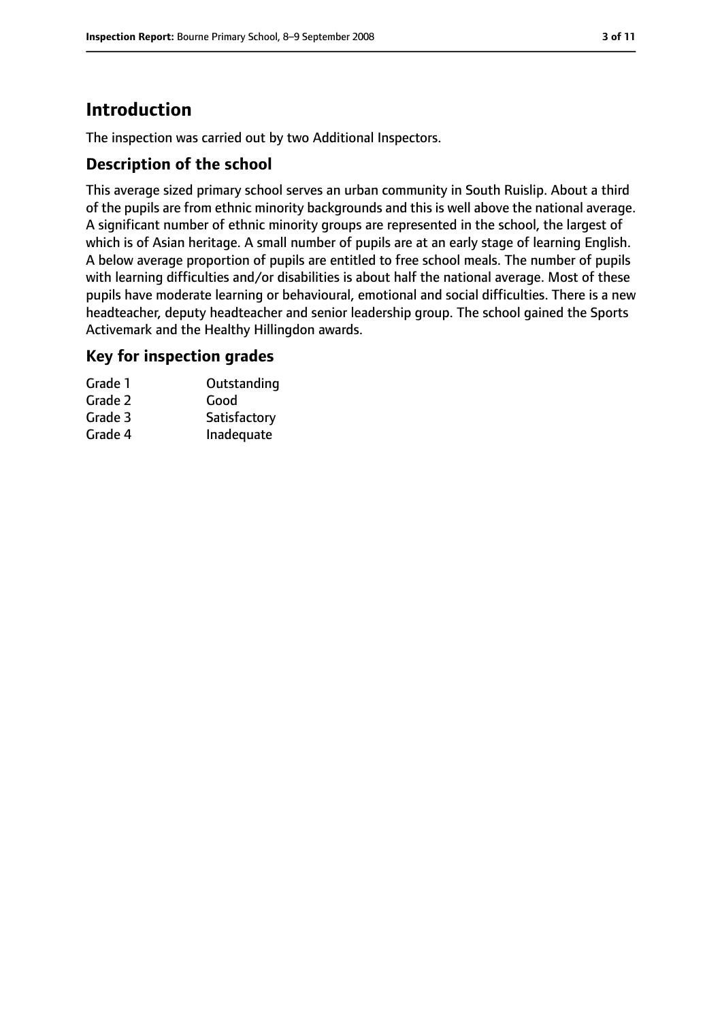# **Introduction**

The inspection was carried out by two Additional Inspectors.

#### **Description of the school**

This average sized primary school serves an urban community in South Ruislip. About a third of the pupils are from ethnic minority backgrounds and this is well above the national average. A significant number of ethnic minority groups are represented in the school, the largest of which is of Asian heritage. A small number of pupils are at an early stage of learning English. A below average proportion of pupils are entitled to free school meals. The number of pupils with learning difficulties and/or disabilities is about half the national average. Most of these pupils have moderate learning or behavioural, emotional and social difficulties. There is a new headteacher, deputy headteacher and senior leadership group. The school gained the Sports Activemark and the Healthy Hillingdon awards.

#### **Key for inspection grades**

| Grade 1 | Outstanding  |
|---------|--------------|
| Grade 2 | Good         |
| Grade 3 | Satisfactory |
| Grade 4 | Inadequate   |
|         |              |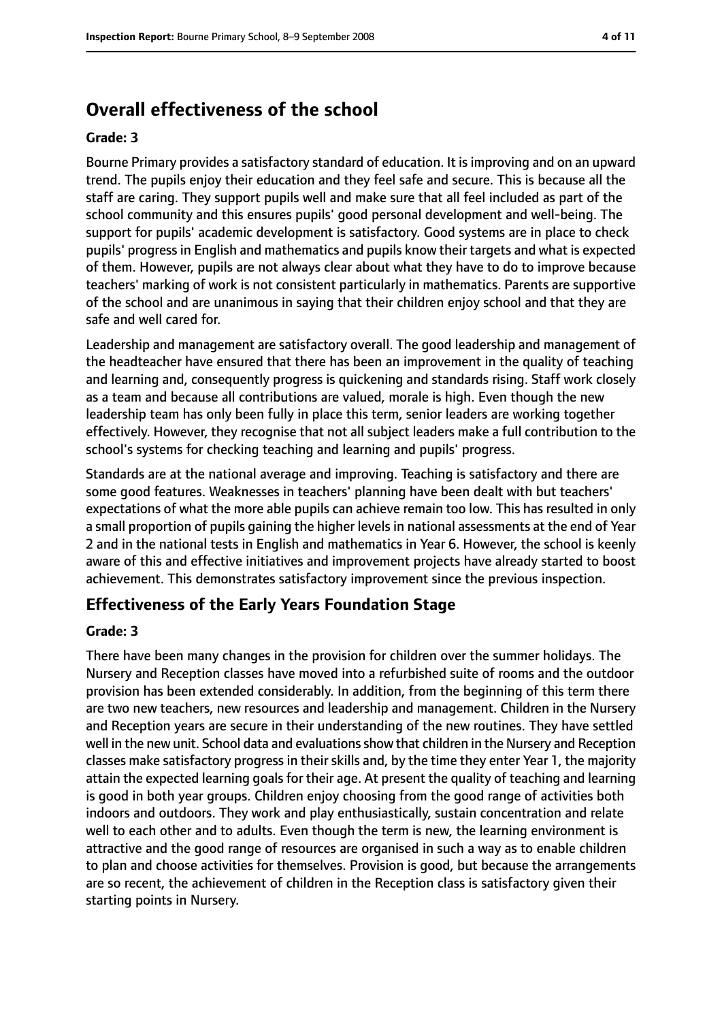## **Overall effectiveness of the school**

#### **Grade: 3**

Bourne Primary provides a satisfactory standard of education. It is improving and on an upward trend. The pupils enjoy their education and they feel safe and secure. This is because all the staff are caring. They support pupils well and make sure that all feel included as part of the school community and this ensures pupils' good personal development and well-being. The support for pupils' academic development is satisfactory. Good systems are in place to check pupils' progress in English and mathematics and pupils know their targets and what is expected of them. However, pupils are not always clear about what they have to do to improve because teachers' marking of work is not consistent particularly in mathematics. Parents are supportive of the school and are unanimous in saying that their children enjoy school and that they are safe and well cared for.

Leadership and management are satisfactory overall. The good leadership and management of the headteacher have ensured that there has been an improvement in the quality of teaching and learning and, consequently progress is quickening and standards rising. Staff work closely as a team and because all contributions are valued, morale is high. Even though the new leadership team has only been fully in place this term, senior leaders are working together effectively. However, they recognise that not all subject leaders make a full contribution to the school's systems for checking teaching and learning and pupils' progress.

Standards are at the national average and improving. Teaching is satisfactory and there are some good features. Weaknesses in teachers' planning have been dealt with but teachers' expectations of what the more able pupils can achieve remain too low. This has resulted in only a small proportion of pupils gaining the higher levels in national assessments at the end of Year 2 and in the national tests in English and mathematics in Year 6. However, the school is keenly aware of this and effective initiatives and improvement projects have already started to boost achievement. This demonstrates satisfactory improvement since the previous inspection.

#### **Effectiveness of the Early Years Foundation Stage**

#### **Grade: 3**

There have been many changes in the provision for children over the summer holidays. The Nursery and Reception classes have moved into a refurbished suite of rooms and the outdoor provision has been extended considerably. In addition, from the beginning of this term there are two new teachers, new resources and leadership and management. Children in the Nursery and Reception years are secure in their understanding of the new routines. They have settled well in the new unit. School data and evaluations show that children in the Nursery and Reception classes make satisfactory progress in their skills and, by the time they enter Year 1, the majority attain the expected learning goals for their age. At present the quality of teaching and learning is good in both year groups. Children enjoy choosing from the good range of activities both indoors and outdoors. They work and play enthusiastically, sustain concentration and relate well to each other and to adults. Even though the term is new, the learning environment is attractive and the good range of resources are organised in such a way as to enable children to plan and choose activities for themselves. Provision is good, but because the arrangements are so recent, the achievement of children in the Reception class is satisfactory given their starting points in Nursery.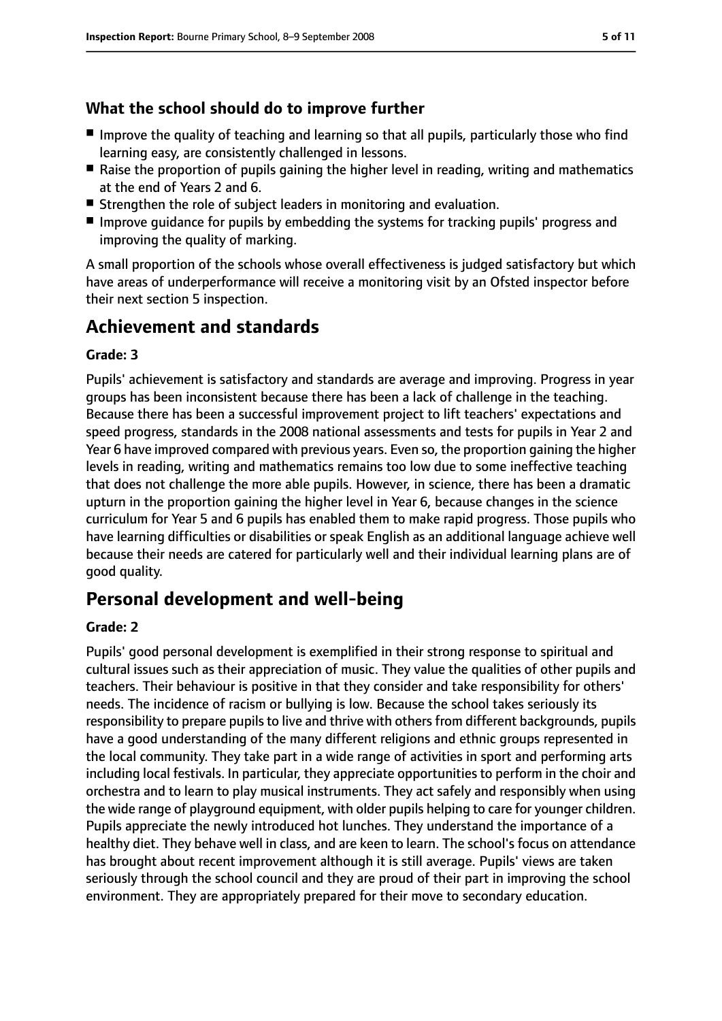#### **What the school should do to improve further**

- Improve the quality of teaching and learning so that all pupils, particularly those who find learning easy, are consistently challenged in lessons.
- Raise the proportion of pupils gaining the higher level in reading, writing and mathematics at the end of Years 2 and 6.
- Strengthen the role of subject leaders in monitoring and evaluation.
- Improve quidance for pupils by embedding the systems for tracking pupils' progress and improving the quality of marking.

A small proportion of the schools whose overall effectiveness is judged satisfactory but which have areas of underperformance will receive a monitoring visit by an Ofsted inspector before their next section 5 inspection.

# **Achievement and standards**

#### **Grade: 3**

Pupils' achievement is satisfactory and standards are average and improving. Progress in year groups has been inconsistent because there has been a lack of challenge in the teaching. Because there has been a successful improvement project to lift teachers' expectations and speed progress, standards in the 2008 national assessments and tests for pupils in Year 2 and Year 6 have improved compared with previous years. Even so, the proportion gaining the higher levels in reading, writing and mathematics remains too low due to some ineffective teaching that does not challenge the more able pupils. However, in science, there has been a dramatic upturn in the proportion gaining the higher level in Year 6, because changes in the science curriculum for Year 5 and 6 pupils has enabled them to make rapid progress. Those pupils who have learning difficulties or disabilities or speak English as an additional language achieve well because their needs are catered for particularly well and their individual learning plans are of good quality.

# **Personal development and well-being**

#### **Grade: 2**

Pupils' good personal development is exemplified in their strong response to spiritual and cultural issues such as their appreciation of music. They value the qualities of other pupils and teachers. Their behaviour is positive in that they consider and take responsibility for others' needs. The incidence of racism or bullying is low. Because the school takes seriously its responsibility to prepare pupils to live and thrive with others from different backgrounds, pupils have a good understanding of the many different religions and ethnic groups represented in the local community. They take part in a wide range of activities in sport and performing arts including local festivals. In particular, they appreciate opportunities to perform in the choir and orchestra and to learn to play musical instruments. They act safely and responsibly when using the wide range of playground equipment, with older pupils helping to care for younger children. Pupils appreciate the newly introduced hot lunches. They understand the importance of a healthy diet. They behave well in class, and are keen to learn. The school's focus on attendance has brought about recent improvement although it is still average. Pupils' views are taken seriously through the school council and they are proud of their part in improving the school environment. They are appropriately prepared for their move to secondary education.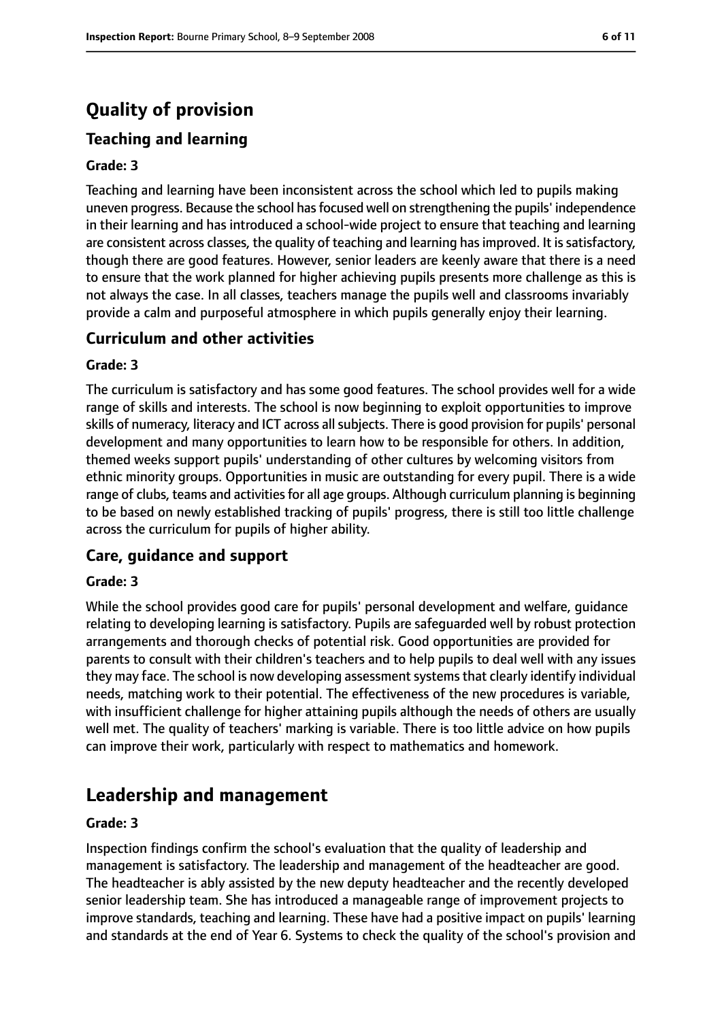# **Quality of provision**

### **Teaching and learning**

#### **Grade: 3**

Teaching and learning have been inconsistent across the school which led to pupils making uneven progress. Because the school has focused well on strengthening the pupils' independence in their learning and has introduced a school-wide project to ensure that teaching and learning are consistent across classes, the quality of teaching and learning has improved. It is satisfactory, though there are good features. However, senior leaders are keenly aware that there is a need to ensure that the work planned for higher achieving pupils presents more challenge as this is not always the case. In all classes, teachers manage the pupils well and classrooms invariably provide a calm and purposeful atmosphere in which pupils generally enjoy their learning.

#### **Curriculum and other activities**

#### **Grade: 3**

The curriculum is satisfactory and has some good features. The school provides well for a wide range of skills and interests. The school is now beginning to exploit opportunities to improve skills of numeracy, literacy and ICT across all subjects. There is good provision for pupils' personal development and many opportunities to learn how to be responsible for others. In addition, themed weeks support pupils' understanding of other cultures by welcoming visitors from ethnic minority groups. Opportunities in music are outstanding for every pupil. There is a wide range of clubs, teams and activities for all age groups. Although curriculum planning is beginning to be based on newly established tracking of pupils' progress, there is still too little challenge across the curriculum for pupils of higher ability.

#### **Care, guidance and support**

#### **Grade: 3**

While the school provides good care for pupils' personal development and welfare, guidance relating to developing learning is satisfactory. Pupils are safeguarded well by robust protection arrangements and thorough checks of potential risk. Good opportunities are provided for parents to consult with their children's teachers and to help pupils to deal well with any issues they may face. The school is now developing assessment systems that clearly identify individual needs, matching work to their potential. The effectiveness of the new procedures is variable, with insufficient challenge for higher attaining pupils although the needs of others are usually well met. The quality of teachers' marking is variable. There is too little advice on how pupils can improve their work, particularly with respect to mathematics and homework.

### **Leadership and management**

#### **Grade: 3**

Inspection findings confirm the school's evaluation that the quality of leadership and management is satisfactory. The leadership and management of the headteacher are good. The headteacher is ably assisted by the new deputy headteacher and the recently developed senior leadership team. She has introduced a manageable range of improvement projects to improve standards, teaching and learning. These have had a positive impact on pupils' learning and standards at the end of Year 6. Systems to check the quality of the school's provision and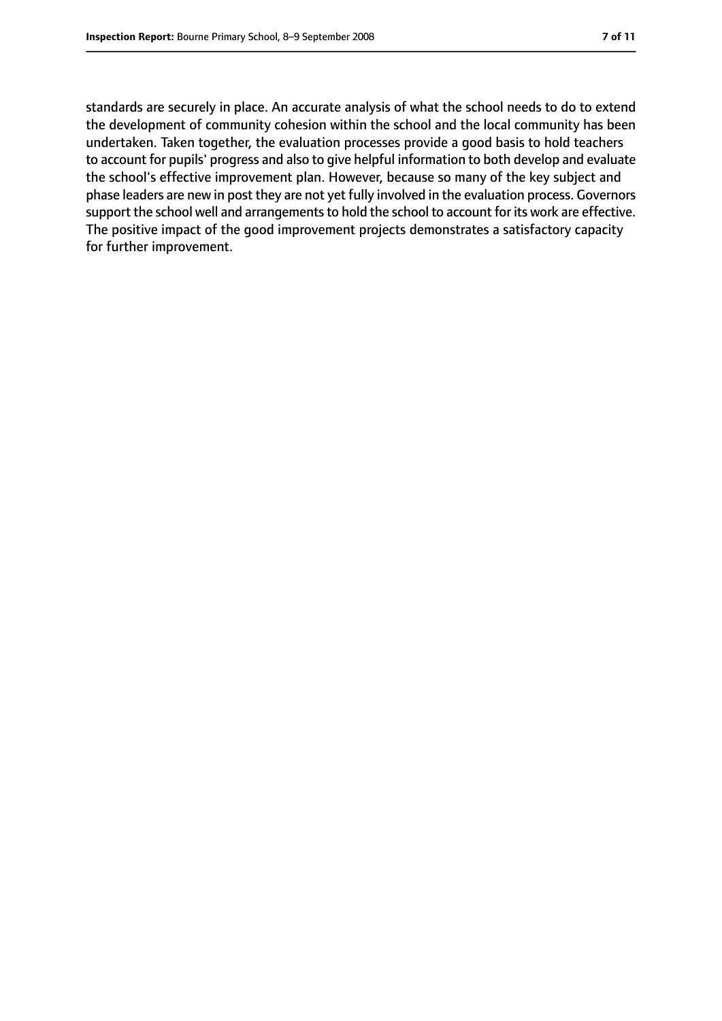standards are securely in place. An accurate analysis of what the school needs to do to extend the development of community cohesion within the school and the local community has been undertaken. Taken together, the evaluation processes provide a good basis to hold teachers to account for pupils' progress and also to give helpful information to both develop and evaluate the school's effective improvement plan. However, because so many of the key subject and phase leaders are new in post they are not yet fully involved in the evaluation process. Governors support the school well and arrangements to hold the school to account for its work are effective. The positive impact of the good improvement projects demonstrates a satisfactory capacity for further improvement.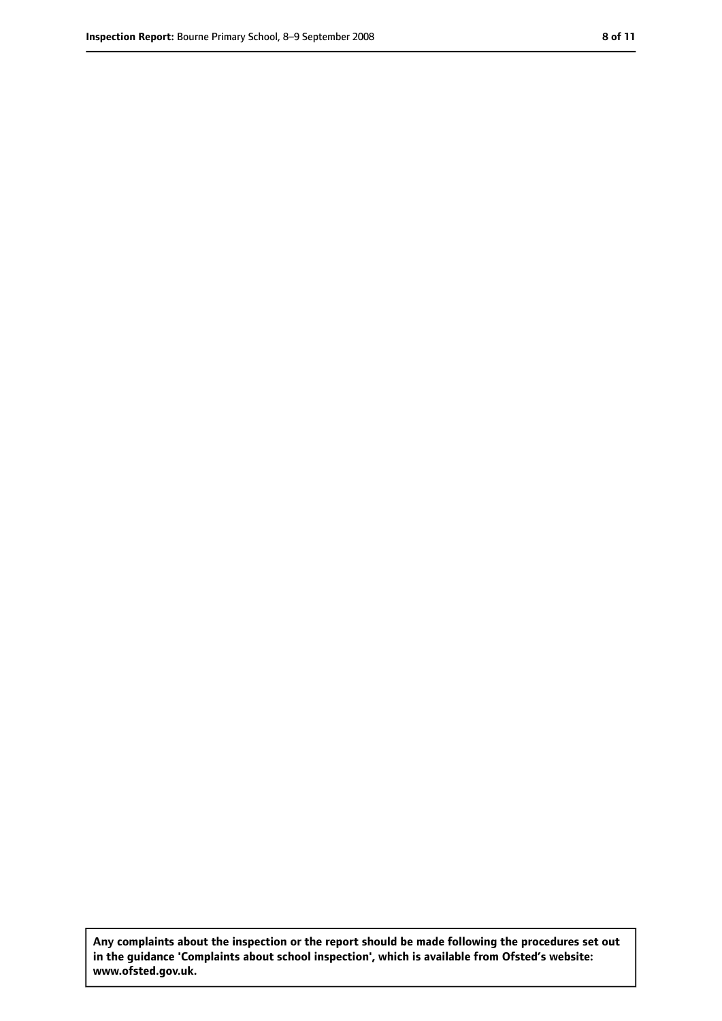**Any complaints about the inspection or the report should be made following the procedures set out in the guidance 'Complaints about school inspection', which is available from Ofsted's website: www.ofsted.gov.uk.**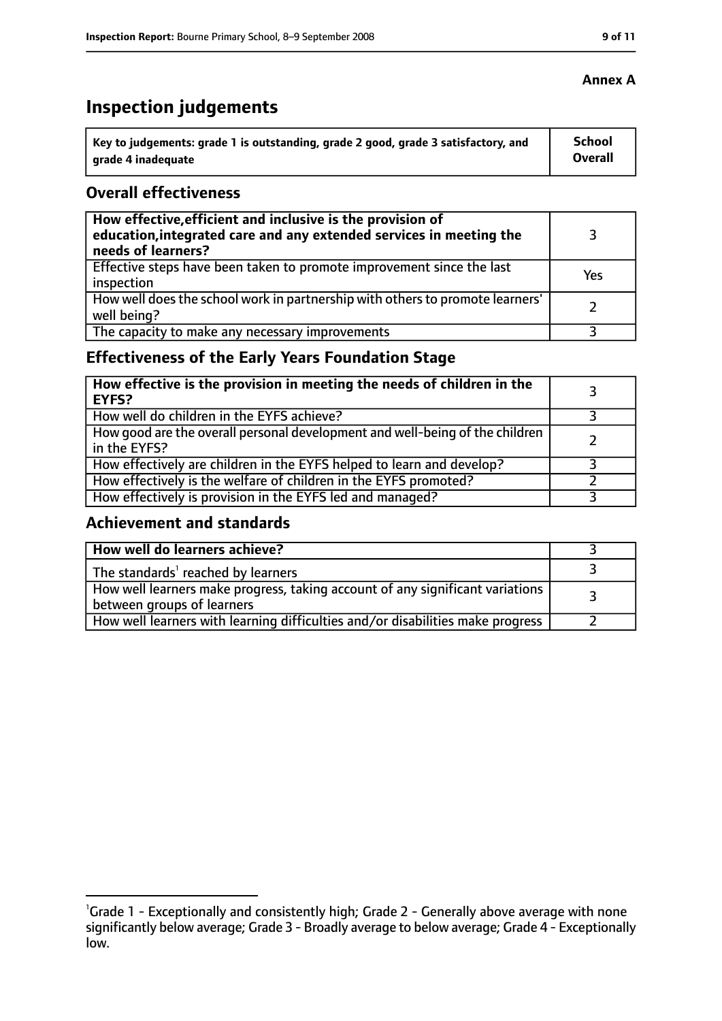# **Inspection judgements**

| ˈ Key to judgements: grade 1 is outstanding, grade 2 good, grade 3 satisfactory, and | School         |
|--------------------------------------------------------------------------------------|----------------|
| grade 4 inadequate                                                                   | <b>Overall</b> |

#### **Overall effectiveness**

| How effective, efficient and inclusive is the provision of<br>education, integrated care and any extended services in meeting the<br>needs of learners? |     |
|---------------------------------------------------------------------------------------------------------------------------------------------------------|-----|
| Effective steps have been taken to promote improvement since the last<br>inspection                                                                     | Yes |
| How well does the school work in partnership with others to promote learners'<br>well being?                                                            |     |
| The capacity to make any necessary improvements                                                                                                         |     |

### **Effectiveness of the Early Years Foundation Stage**

| How effective is the provision in meeting the needs of children in the<br>l EYFS?              |  |
|------------------------------------------------------------------------------------------------|--|
| How well do children in the EYFS achieve?                                                      |  |
| How good are the overall personal development and well-being of the children<br>I in the EYFS? |  |
| How effectively are children in the EYFS helped to learn and develop?                          |  |
| How effectively is the welfare of children in the EYFS promoted?                               |  |
| How effectively is provision in the EYFS led and managed?                                      |  |

#### **Achievement and standards**

| How well do learners achieve?                                                                                 |  |
|---------------------------------------------------------------------------------------------------------------|--|
| The standards <sup>1</sup> reached by learners                                                                |  |
| How well learners make progress, taking account of any significant variations  <br>between groups of learners |  |
| How well learners with learning difficulties and/or disabilities make progress                                |  |

#### **Annex A**

<sup>&</sup>lt;sup>1</sup>Grade 1 - Exceptionally and consistently high; Grade 2 - Generally above average with none significantly below average; Grade 3 - Broadly average to below average; Grade 4 - Exceptionally low.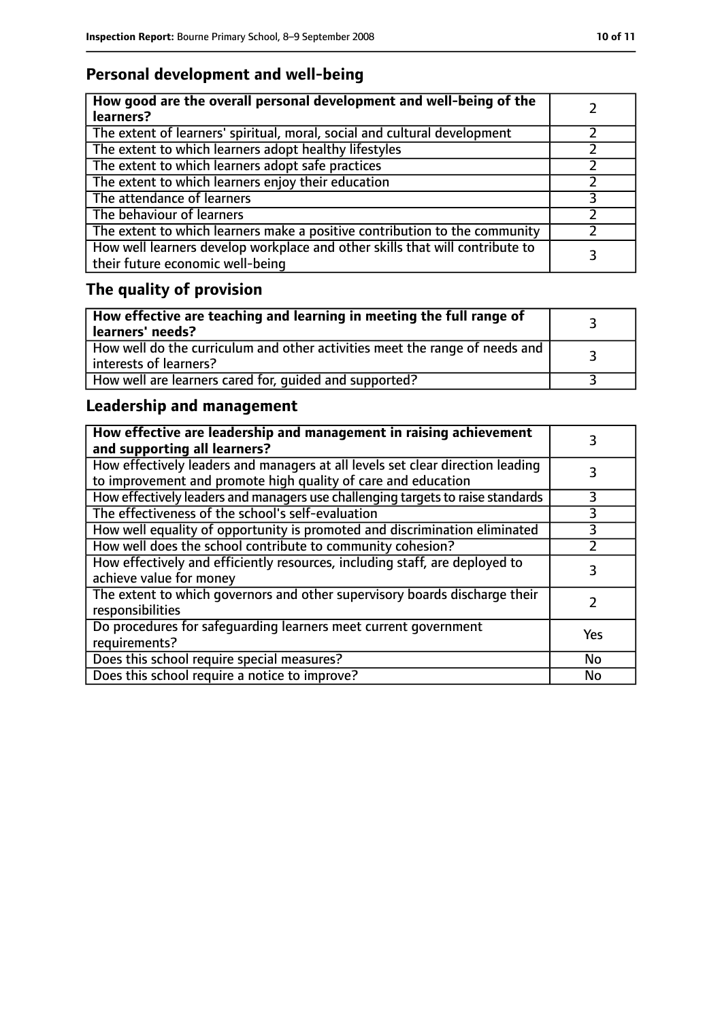### **Personal development and well-being**

| How good are the overall personal development and well-being of the<br>learners?                                 |  |
|------------------------------------------------------------------------------------------------------------------|--|
| The extent of learners' spiritual, moral, social and cultural development                                        |  |
| The extent to which learners adopt healthy lifestyles                                                            |  |
| The extent to which learners adopt safe practices                                                                |  |
| The extent to which learners enjoy their education                                                               |  |
| The attendance of learners                                                                                       |  |
| The behaviour of learners                                                                                        |  |
| The extent to which learners make a positive contribution to the community                                       |  |
| How well learners develop workplace and other skills that will contribute to<br>their future economic well-being |  |

# **The quality of provision**

| How effective are teaching and learning in meeting the full range of<br>learners' needs?              |  |
|-------------------------------------------------------------------------------------------------------|--|
| How well do the curriculum and other activities meet the range of needs and<br>interests of learners? |  |
| How well are learners cared for, quided and supported?                                                |  |

### **Leadership and management**

| How effective are leadership and management in raising achievement<br>and supporting all learners?                                              |     |
|-------------------------------------------------------------------------------------------------------------------------------------------------|-----|
| How effectively leaders and managers at all levels set clear direction leading<br>to improvement and promote high quality of care and education |     |
| How effectively leaders and managers use challenging targets to raise standards                                                                 | 3   |
| The effectiveness of the school's self-evaluation                                                                                               | 3   |
| How well equality of opportunity is promoted and discrimination eliminated                                                                      | 3   |
| How well does the school contribute to community cohesion?                                                                                      | 7   |
| How effectively and efficiently resources, including staff, are deployed to<br>achieve value for money                                          |     |
| The extent to which governors and other supervisory boards discharge their<br>responsibilities                                                  |     |
| Do procedures for safequarding learners meet current government<br>requirements?                                                                | Yes |
| Does this school require special measures?                                                                                                      | No  |
| Does this school require a notice to improve?                                                                                                   | No  |